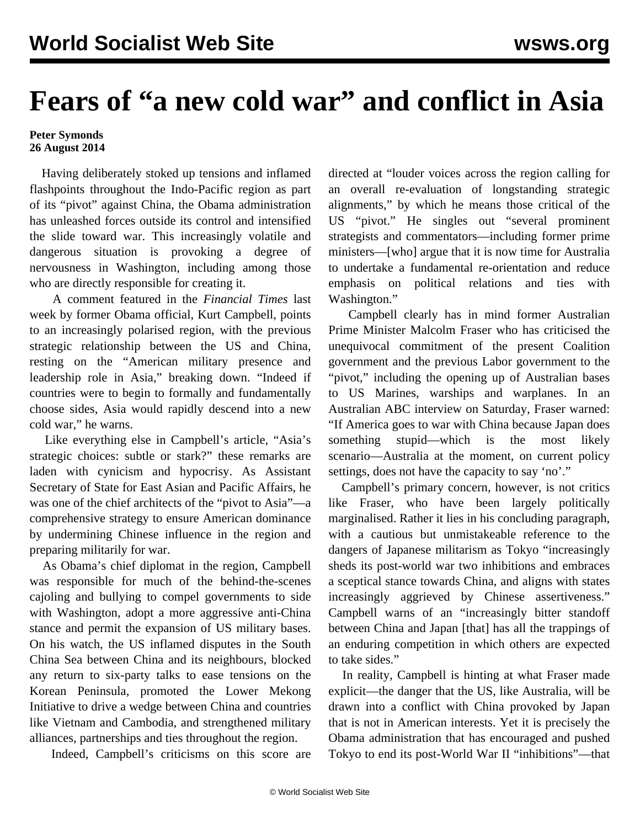## **Fears of "a new cold war" and conflict in Asia**

## **Peter Symonds 26 August 2014**

 Having deliberately stoked up tensions and inflamed flashpoints throughout the Indo-Pacific region as part of its "pivot" against China, the Obama administration has unleashed forces outside its control and intensified the slide toward war. This increasingly volatile and dangerous situation is provoking a degree of nervousness in Washington, including among those who are directly responsible for creating it.

 A comment featured in the *Financial Times* last week by former Obama official, Kurt Campbell, points to an increasingly polarised region, with the previous strategic relationship between the US and China, resting on the "American military presence and leadership role in Asia," breaking down. "Indeed if countries were to begin to formally and fundamentally choose sides, Asia would rapidly descend into a new cold war," he warns.

 Like everything else in Campbell's article, "Asia's strategic choices: subtle or stark?" these remarks are laden with cynicism and hypocrisy. As Assistant Secretary of State for East Asian and Pacific Affairs, he was one of the chief architects of the "pivot to Asia"—a comprehensive strategy to ensure American dominance by undermining Chinese influence in the region and preparing militarily for war.

 As Obama's chief diplomat in the region, Campbell was responsible for much of the behind-the-scenes cajoling and bullying to compel governments to side with Washington, adopt a more aggressive anti-China stance and permit the expansion of US military bases. On his watch, the US inflamed disputes in the South China Sea between China and its neighbours, blocked any return to six-party talks to ease tensions on the Korean Peninsula, promoted the Lower Mekong Initiative to drive a wedge between China and countries like Vietnam and Cambodia, and strengthened military alliances, partnerships and ties throughout the region.

Indeed, Campbell's criticisms on this score are

directed at "louder voices across the region calling for an overall re-evaluation of longstanding strategic alignments," by which he means those critical of the US "pivot." He singles out "several prominent strategists and commentators—including former prime ministers—[who] argue that it is now time for Australia to undertake a fundamental re-orientation and reduce emphasis on political relations and ties with Washington."

 Campbell clearly has in mind former Australian Prime Minister Malcolm Fraser who has criticised the unequivocal commitment of the present Coalition government and the previous Labor government to the "pivot," including the opening up of Australian bases to US Marines, warships and warplanes. In an Australian ABC interview on Saturday, Fraser warned: "If America goes to war with China because Japan does something stupid—which is the most likely scenario—Australia at the moment, on current policy settings, does not have the capacity to say 'no'."

 Campbell's primary concern, however, is not critics like Fraser, who have been largely politically marginalised. Rather it lies in his concluding paragraph, with a cautious but unmistakeable reference to the dangers of Japanese militarism as Tokyo "increasingly sheds its post-world war two inhibitions and embraces a sceptical stance towards China, and aligns with states increasingly aggrieved by Chinese assertiveness." Campbell warns of an "increasingly bitter standoff between China and Japan [that] has all the trappings of an enduring competition in which others are expected to take sides."

 In reality, Campbell is hinting at what Fraser made explicit—the danger that the US, like Australia, will be drawn into a conflict with China provoked by Japan that is not in American interests. Yet it is precisely the Obama administration that has encouraged and pushed Tokyo to end its post-World War II "inhibitions"—that